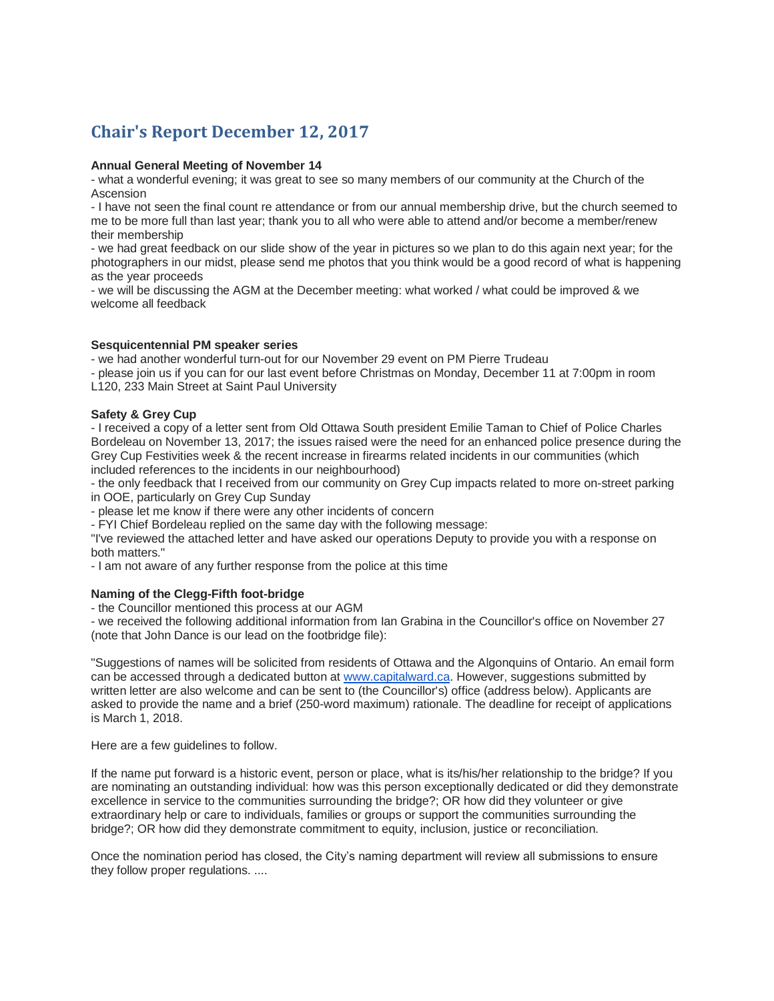# **Chair's Report December 12, 2017**

#### **Annual General Meeting of November 14**

- what a wonderful evening; it was great to see so many members of our community at the Church of the Ascension

- I have not seen the final count re attendance or from our annual membership drive, but the church seemed to me to be more full than last year; thank you to all who were able to attend and/or become a member/renew their membership

- we had great feedback on our slide show of the year in pictures so we plan to do this again next year; for the photographers in our midst, please send me photos that you think would be a good record of what is happening as the year proceeds

- we will be discussing the AGM at the December meeting: what worked / what could be improved & we welcome all feedback

### **Sesquicentennial PM speaker series**

- we had another wonderful turn-out for our November 29 event on PM Pierre Trudeau

- please join us if you can for our last event before Christmas on Monday, December 11 at 7:00pm in room L120, 233 Main Street at Saint Paul University

### **Safety & Grey Cup**

- I received a copy of a letter sent from Old Ottawa South president Emilie Taman to Chief of Police Charles Bordeleau on November 13, 2017; the issues raised were the need for an enhanced police presence during the Grey Cup Festivities week & the recent increase in firearms related incidents in our communities (which included references to the incidents in our neighbourhood)

- the only feedback that I received from our community on Grey Cup impacts related to more on-street parking in OOE, particularly on Grey Cup Sunday

- please let me know if there were any other incidents of concern

- FYI Chief Bordeleau replied on the same day with the following message:

"I've reviewed the attached letter and have asked our operations Deputy to provide you with a response on both matters."

- I am not aware of any further response from the police at this time

# **Naming of the Clegg-Fifth foot-bridge**

- the Councillor mentioned this process at our AGM

- we received the following additional information from Ian Grabina in the Councillor's office on November 27 (note that John Dance is our lead on the footbridge file):

"Suggestions of names will be solicited from residents of Ottawa and the Algonquins of Ontario. An email form can be accessed through a dedicated button at [www.capitalward.ca.](http://www.capitalward.ca/) However, suggestions submitted by written letter are also welcome and can be sent to (the Councillor's) office (address below). Applicants are asked to provide the name and a brief (250-word maximum) rationale. The deadline for receipt of applications is March 1, 2018.

Here are a few guidelines to follow.

If the name put forward is a historic event, person or place, what is its/his/her relationship to the bridge? If you are nominating an outstanding individual: how was this person exceptionally dedicated or did they demonstrate excellence in service to the communities surrounding the bridge?; OR how did they volunteer or give extraordinary help or care to individuals, families or groups or support the communities surrounding the bridge?; OR how did they demonstrate commitment to equity, inclusion, justice or reconciliation.

Once the nomination period has closed, the City's naming department will review all submissions to ensure they follow proper regulations. ....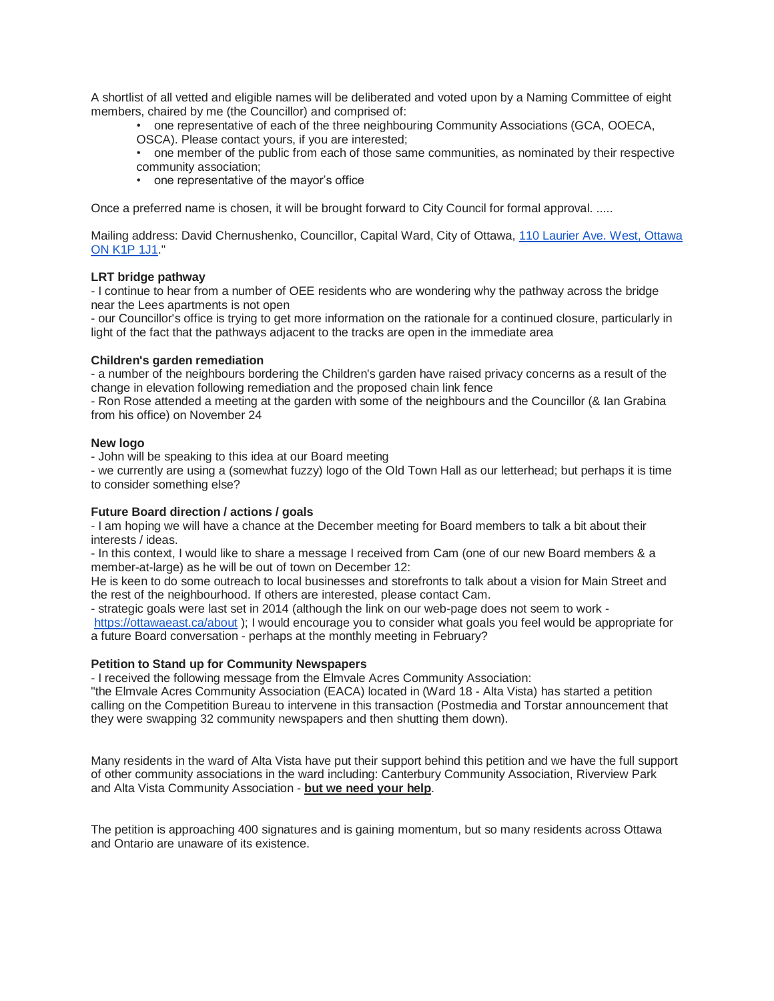A shortlist of all vetted and eligible names will be deliberated and voted upon by a Naming Committee of eight members, chaired by me (the Councillor) and comprised of:

• one representative of each of the three neighbouring Community Associations (GCA, OOECA,

OSCA). Please contact yours, if you are interested;

• one member of the public from each of those same communities, as nominated by their respective community association;

• one representative of the mayor's office

Once a preferred name is chosen, it will be brought forward to City Council for formal approval. .....

Mailing address: David Chernushenko, Councillor, Capital Ward, City of Ottawa, [110 Laurier Ave. West, Ottawa](https://maps.google.com/?q=110+Laurier+Ave.+West,+Ottawa+ON+K1P+1J1&entry=gmail&source=g)  [ON K1P 1J1.](https://maps.google.com/?q=110+Laurier+Ave.+West,+Ottawa+ON+K1P+1J1&entry=gmail&source=g)"

# **LRT bridge pathway**

- I continue to hear from a number of OEE residents who are wondering why the pathway across the bridge near the Lees apartments is not open

- our Councillor's office is trying to get more information on the rationale for a continued closure, particularly in light of the fact that the pathways adjacent to the tracks are open in the immediate area

# **Children's garden remediation**

- a number of the neighbours bordering the Children's garden have raised privacy concerns as a result of the change in elevation following remediation and the proposed chain link fence

- Ron Rose attended a meeting at the garden with some of the neighbours and the Councillor (& Ian Grabina from his office) on November 24

# **New logo**

- John will be speaking to this idea at our Board meeting

- we currently are using a (somewhat fuzzy) logo of the Old Town Hall as our letterhead; but perhaps it is time to consider something else?

# **Future Board direction / actions / goals**

- I am hoping we will have a chance at the December meeting for Board members to talk a bit about their interests / ideas.

- In this context, I would like to share a message I received from Cam (one of our new Board members & a member-at-large) as he will be out of town on December 12:

He is keen to do some outreach to local businesses and storefronts to talk about a vision for Main Street and the rest of the neighbourhood. If others are interested, please contact Cam.

- strategic goals were last set in 2014 (although the link on our web-page does not seem to work <https://ottawaeast.ca/about> ); I would encourage you to consider what goals you feel would be appropriate for a future Board conversation - perhaps at the monthly meeting in February?

# **Petition to Stand up for Community Newspapers**

- I received the following message from the Elmvale Acres Community Association:

"the Elmvale Acres Community Association (EACA) located in (Ward 18 - Alta Vista) has started a petition calling on the Competition Bureau to intervene in this transaction (Postmedia and Torstar announcement that they were swapping 32 community newspapers and then shutting them down).

Many residents in the ward of Alta Vista have put their support behind this petition and we have the full support of other community associations in the ward including: Canterbury Community Association, Riverview Park and Alta Vista Community Association - **but we need your help**.

The petition is approaching 400 signatures and is gaining momentum, but so many residents across Ottawa and Ontario are unaware of its existence.